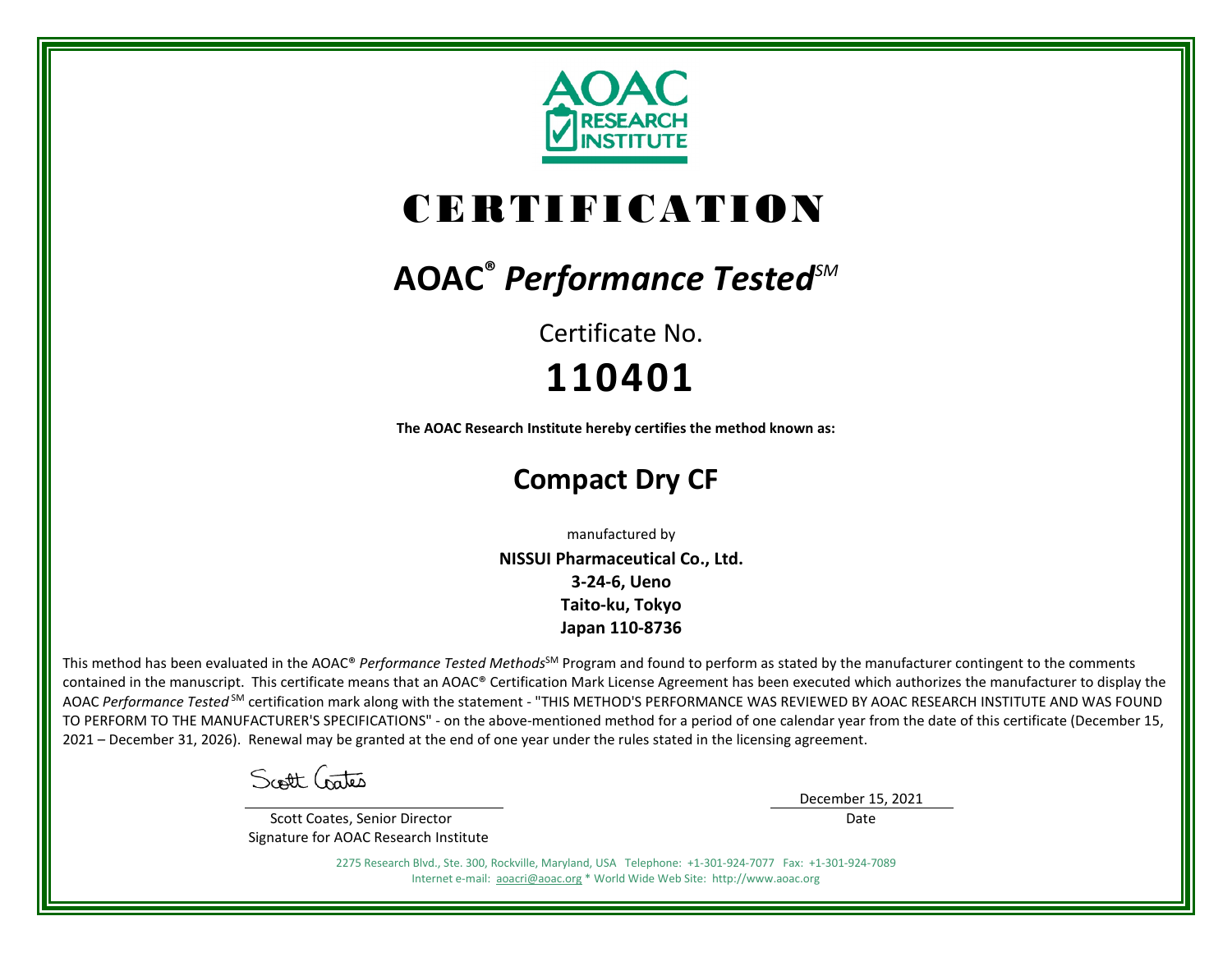

# CERTIFICATION

## **AOAC®** *Performance TestedSM*

Certificate No. **110401**

**The AOAC Research Institute hereby certifies the method known as:**

### **Compact Dry CF**

manufactured by

**NISSUI Pharmaceutical Co., Ltd. 3-24-6, Ueno Taito-ku, Tokyo Japan 110-8736**

This method has been evaluated in the AOAC® *Performance Tested Methods*<sup>SM</sup> Program and found to perform as stated by the manufacturer contingent to the comments contained in the manuscript. This certificate means that an AOAC® Certification Mark License Agreement has been executed which authorizes the manufacturer to display the AOAC *Performance Tested* SM certification mark along with the statement - "THIS METHOD'S PERFORMANCE WAS REVIEWED BY AOAC RESEARCH INSTITUTE AND WAS FOUND TO PERFORM TO THE MANUFACTURER'S SPECIFICATIONS" - on the above-mentioned method for a period of one calendar year from the date of this certificate (December 15, 2021 – December 31, 2026). Renewal may be granted at the end of one year under the rules stated in the licensing agreement.

Scott Crates

 Scott Coates, Senior Director Signature for AOAC Research Institute December 15, 2021 Date

2275 Research Blvd., Ste. 300, Rockville, Maryland, USA Telephone: +1-301-924-7077 Fax: +1-301-924-7089 Internet e-mail: [aoacri@aoac.org](mailto:aoacri@aoac.org) \* World Wide Web Site: http://www.aoac.org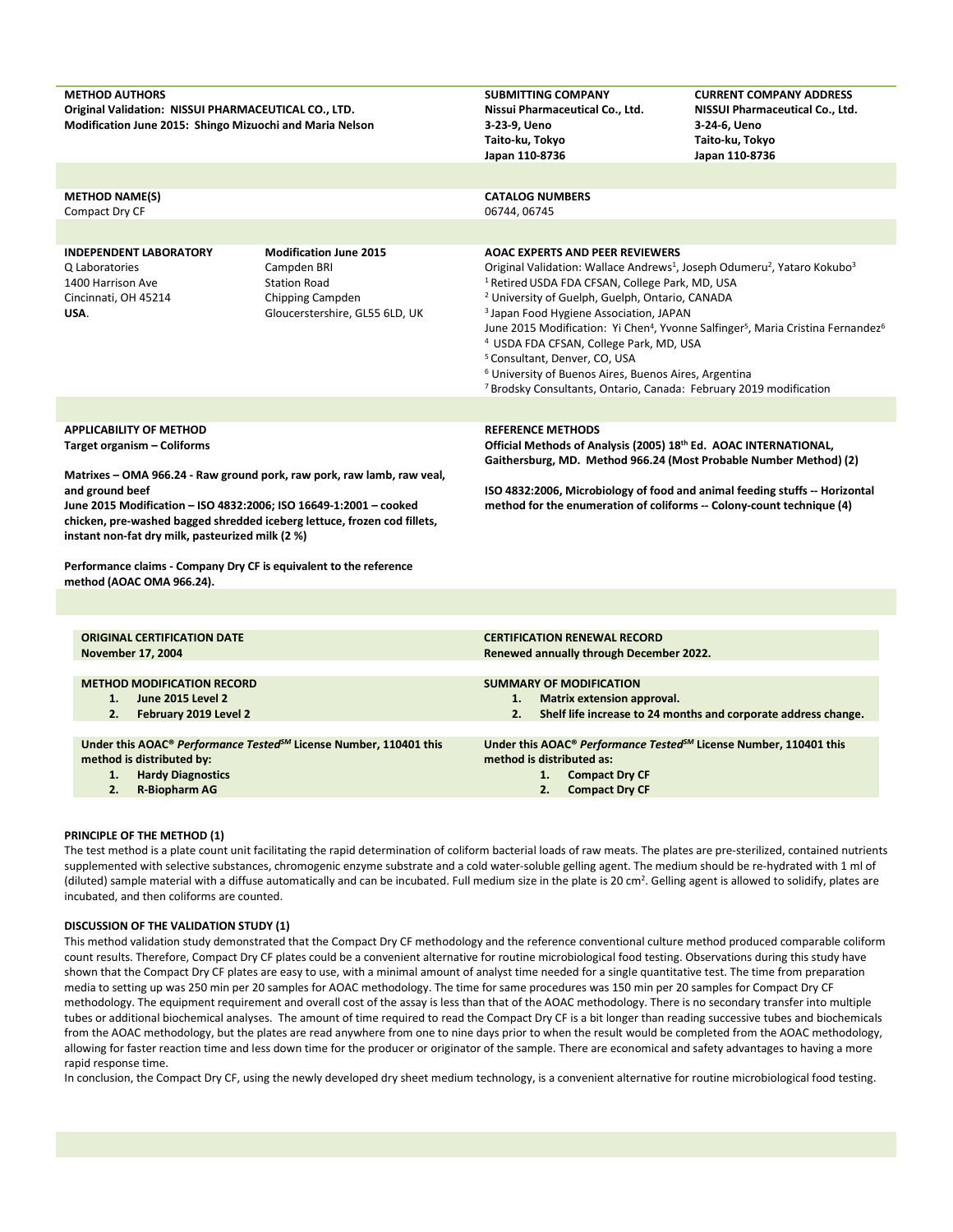| <b>METHOD AUTHORS</b><br>Original Validation: NISSUI PHARMACEUTICAL CO., LTD.<br>Modification June 2015: Shingo Mizuochi and Maria Nelson |                                                                                                                                             | <b>SUBMITTING COMPANY</b><br>Nissui Pharmaceutical Co., Ltd.<br>3-23-9, Ueno<br>Taito-ku, Tokyo<br>Japan 110-8736                                                                                                                                                                                                                                                                                                                                                                                                                                                                                                                                                                                                       | <b>CURRENT COMPANY ADDRESS</b><br>NISSUI Pharmaceutical Co., Ltd.<br>3-24-6, Ueno<br>Taito-ku, Tokyo<br>Japan 110-8736                           |  |
|-------------------------------------------------------------------------------------------------------------------------------------------|---------------------------------------------------------------------------------------------------------------------------------------------|-------------------------------------------------------------------------------------------------------------------------------------------------------------------------------------------------------------------------------------------------------------------------------------------------------------------------------------------------------------------------------------------------------------------------------------------------------------------------------------------------------------------------------------------------------------------------------------------------------------------------------------------------------------------------------------------------------------------------|--------------------------------------------------------------------------------------------------------------------------------------------------|--|
|                                                                                                                                           |                                                                                                                                             |                                                                                                                                                                                                                                                                                                                                                                                                                                                                                                                                                                                                                                                                                                                         |                                                                                                                                                  |  |
| <b>METHOD NAME(S)</b><br>Compact Dry CF                                                                                                   |                                                                                                                                             | <b>CATALOG NUMBERS</b><br>06744, 06745                                                                                                                                                                                                                                                                                                                                                                                                                                                                                                                                                                                                                                                                                  |                                                                                                                                                  |  |
|                                                                                                                                           |                                                                                                                                             |                                                                                                                                                                                                                                                                                                                                                                                                                                                                                                                                                                                                                                                                                                                         |                                                                                                                                                  |  |
| <b>INDEPENDENT LABORATORY</b><br>Q Laboratories<br>1400 Harrison Ave<br>Cincinnati, OH 45214<br>USA.                                      | <b>Modification June 2015</b><br>Campden BRI<br><b>Station Road</b><br>Chipping Campden<br>Gloucerstershire, GL55 6LD, UK                   | <b>AOAC EXPERTS AND PEER REVIEWERS</b><br>Original Validation: Wallace Andrews <sup>1</sup> , Joseph Odumeru <sup>2</sup> , Yataro Kokubo <sup>3</sup><br><sup>1</sup> Retired USDA FDA CFSAN, College Park, MD, USA<br><sup>2</sup> University of Guelph, Guelph, Ontario, CANADA<br><sup>3</sup> Japan Food Hygiene Association, JAPAN<br>June 2015 Modification: Yi Chen <sup>4</sup> , Yvonne Salfinger <sup>5</sup> , Maria Cristina Fernandez <sup>6</sup><br><sup>4</sup> USDA FDA CFSAN, College Park, MD, USA<br><sup>5</sup> Consultant, Denver, CO, USA<br><sup>6</sup> University of Buenos Aires, Buenos Aires, Argentina<br><sup>7</sup> Brodsky Consultants, Ontario, Canada: February 2019 modification |                                                                                                                                                  |  |
|                                                                                                                                           |                                                                                                                                             |                                                                                                                                                                                                                                                                                                                                                                                                                                                                                                                                                                                                                                                                                                                         |                                                                                                                                                  |  |
| <b>APPLICABILITY OF METHOD</b><br>Target organism - Coliforms<br>and ground beef                                                          | Matrixes - OMA 966.24 - Raw ground pork, raw pork, raw lamb, raw veal,<br>June 2015 Modification - ISO 4832:2006; ISO 16649-1:2001 - cooked | <b>REFERENCE METHODS</b><br>Official Methods of Analysis (2005) 18th Ed. AOAC INTERNATIONAL,<br>method for the enumeration of coliforms -- Colony-count technique (4)                                                                                                                                                                                                                                                                                                                                                                                                                                                                                                                                                   | Gaithersburg, MD. Method 966.24 (Most Probable Number Method) (2)<br>ISO 4832:2006, Microbiology of food and animal feeding stuffs -- Horizontal |  |
| instant non-fat dry milk, pasteurized milk (2 %)                                                                                          | chicken, pre-washed bagged shredded iceberg lettuce, frozen cod fillets,                                                                    |                                                                                                                                                                                                                                                                                                                                                                                                                                                                                                                                                                                                                                                                                                                         |                                                                                                                                                  |  |
| Performance claims - Company Dry CF is equivalent to the reference<br>method (AOAC OMA 966.24).                                           |                                                                                                                                             |                                                                                                                                                                                                                                                                                                                                                                                                                                                                                                                                                                                                                                                                                                                         |                                                                                                                                                  |  |
|                                                                                                                                           |                                                                                                                                             |                                                                                                                                                                                                                                                                                                                                                                                                                                                                                                                                                                                                                                                                                                                         |                                                                                                                                                  |  |
| <b>ORIGINAL CERTIFICATION DATE</b><br><b>November 17, 2004</b>                                                                            |                                                                                                                                             | <b>CERTIFICATION RENEWAL RECORD</b><br>Renewed annually through December 2022.                                                                                                                                                                                                                                                                                                                                                                                                                                                                                                                                                                                                                                          |                                                                                                                                                  |  |
| <b>METHOD MODIFICATION RECORD</b><br>June 2015 Level 2<br>1.<br>2.<br>February 2019 Level 2                                               |                                                                                                                                             | <b>SUMMARY OF MODIFICATION</b><br>1.<br>Matrix extension approval.<br>2.                                                                                                                                                                                                                                                                                                                                                                                                                                                                                                                                                                                                                                                | Shelf life increase to 24 months and corporate address change.                                                                                   |  |
| method is distributed by:<br>1.<br><b>Hardy Diagnostics</b><br>2.<br><b>R-Biopharm AG</b>                                                 | Under this AOAC® Performance Tested <sup>5M</sup> License Number, 110401 this                                                               | Under this AOAC® Performance Tested <sup>SM</sup> License Number, 110401 this<br>method is distributed as:<br>1.<br><b>Compact Dry CF</b><br>2.<br><b>Compact Dry CF</b>                                                                                                                                                                                                                                                                                                                                                                                                                                                                                                                                                |                                                                                                                                                  |  |

#### **PRINCIPLE OF THE METHOD (1)**

The test method is a plate count unit facilitating the rapid determination of coliform bacterial loads of raw meats. The plates are pre-sterilized, contained nutrients supplemented with selective substances, chromogenic enzyme substrate and a cold water-soluble gelling agent. The medium should be re-hydrated with 1 ml of (diluted) sample material with a diffuse automatically and can be incubated. Full medium size in the plate is 20 cm<sup>2</sup>. Gelling agent is allowed to solidify, plates are incubated, and then coliforms are counted.

#### **DISCUSSION OF THE VALIDATION STUDY (1)**

This method validation study demonstrated that the Compact Dry CF methodology and the reference conventional culture method produced comparable coliform count results. Therefore, Compact Dry CF plates could be a convenient alternative for routine microbiological food testing. Observations during this study have shown that the Compact Dry CF plates are easy to use, with a minimal amount of analyst time needed for a single quantitative test. The time from preparation media to setting up was 250 min per 20 samples for AOAC methodology. The time for same procedures was 150 min per 20 samples for Compact Dry CF methodology. The equipment requirement and overall cost of the assay is less than that of the AOAC methodology. There is no secondary transfer into multiple tubes or additional biochemical analyses. The amount of time required to read the Compact Dry CF is a bit longer than reading successive tubes and biochemicals from the AOAC methodology, but the plates are read anywhere from one to nine days prior to when the result would be completed from the AOAC methodology, allowing for faster reaction time and less down time for the producer or originator of the sample. There are economical and safety advantages to having a more rapid response time.

In conclusion, the Compact Dry CF, using the newly developed dry sheet medium technology, is a convenient alternative for routine microbiological food testing.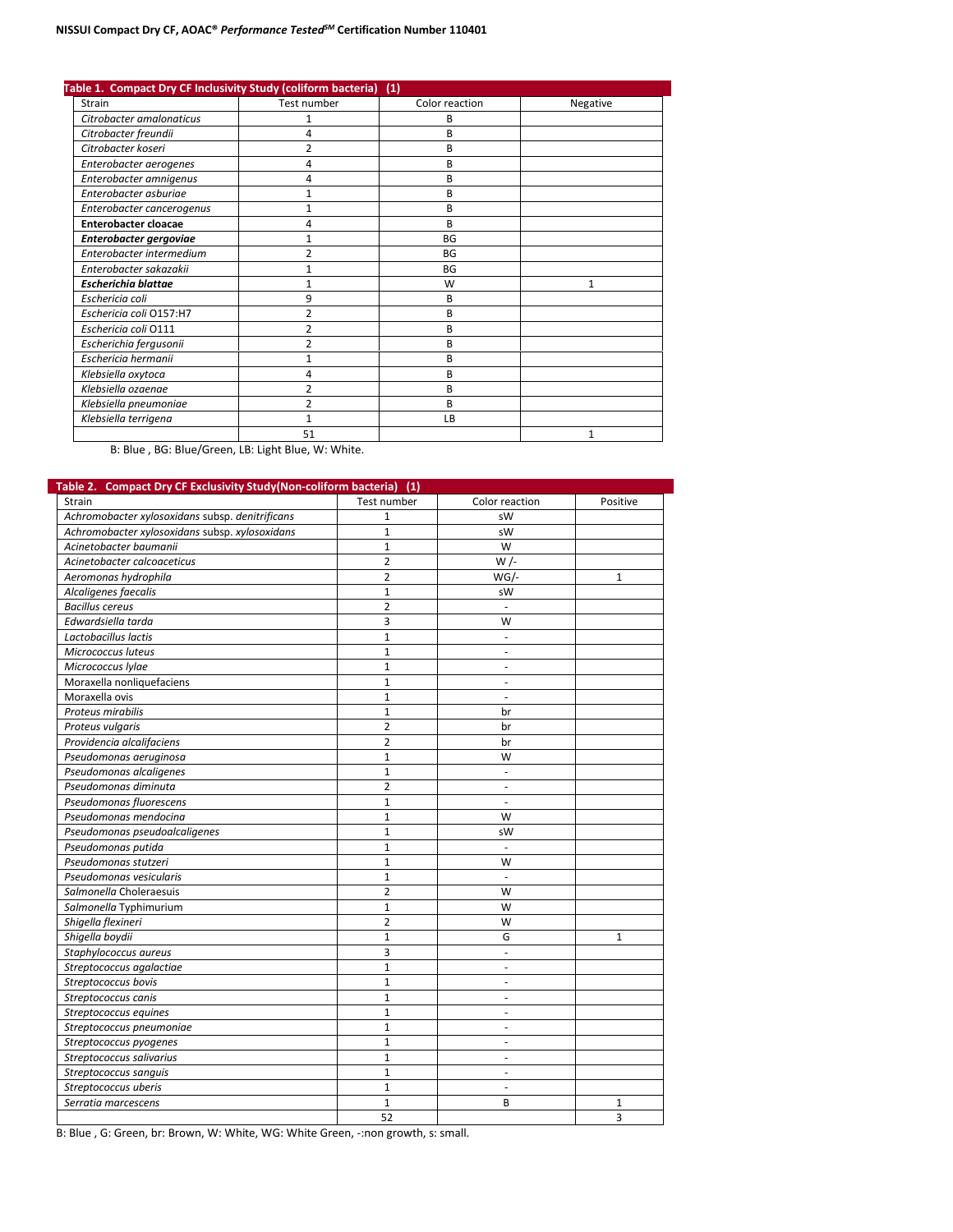| Table 1. Compact Dry CF Inclusivity Study (coliform bacteria) |                | (1)            |              |
|---------------------------------------------------------------|----------------|----------------|--------------|
| Strain                                                        | Test number    | Color reaction | Negative     |
| Citrobacter amalonaticus                                      | 1              | B              |              |
| Citrobacter freundii                                          | 4              | В              |              |
| Citrobacter koseri                                            | 2              | B              |              |
| Enterobacter aerogenes                                        | 4              | B              |              |
| Enterobacter amnigenus                                        | 4              | B              |              |
| Enterobacter asburiae                                         | 1              | B              |              |
| Enterobacter cancerogenus                                     | 1              | B              |              |
| <b>Enterobacter cloacae</b>                                   | 4              | B              |              |
| Enterobacter gergoviae                                        | 1              | BG             |              |
| Enterobacter intermedium                                      | $\overline{2}$ | <b>BG</b>      |              |
| Enterobacter sakazakii                                        |                | <b>BG</b>      |              |
| <b>Escherichia blattae</b>                                    | 1              | W              | $\mathbf{1}$ |
| Eschericia coli                                               | 9              | B              |              |
| Eschericia coli O157:H7                                       | 2              | B              |              |
| Eschericia coli O111                                          | 2              | B              |              |
| Escherichia fergusonii                                        | 2              | B              |              |
| Eschericia hermanii                                           | $\mathbf{1}$   | B              |              |
| Klebsiella oxytoca                                            | 4              | B              |              |
| Klebsiella ozaenae                                            | 2              | B              |              |
| Klebsiella pneumoniae                                         | 2              | B              |              |
| Klebsiella terrigena                                          |                | LB             |              |
|                                                               | 51             |                | $\mathbf{1}$ |

B: Blue, BG: Blue/Green, LB: Light Blue, W: White.

| Strain                                          | Test number    | Color reaction           | Positive     |
|-------------------------------------------------|----------------|--------------------------|--------------|
| Achromobacter xylosoxidans subsp. denitrificans | $\mathbf{1}$   | sW                       |              |
| Achromobacter xylosoxidans subsp. xylosoxidans  | $\mathbf{1}$   | sW                       |              |
| Acinetobacter baumanii                          | $\mathbf{1}$   | W                        |              |
| Acinetobacter calcoaceticus                     | $\overline{2}$ | $W/-$                    |              |
| Aeromonas hydrophila                            | $\overline{2}$ | $WG/-$                   | $\mathbf{1}$ |
| Alcaligenes faecalis                            | $\mathbf{1}$   | sW                       |              |
| <b>Bacillus cereus</b>                          | $\overline{2}$ |                          |              |
| Edwardsiella tarda                              | 3              | W                        |              |
| Lactobacillus lactis                            | $\mathbf{1}$   | $\overline{\phantom{a}}$ |              |
| Micrococcus luteus                              | 1              | $\overline{\phantom{a}}$ |              |
| Micrococcus Iylae                               | $\mathbf{1}$   | $\sim$                   |              |
| Moraxella nonliquefaciens                       | $\mathbf{1}$   | $\sim$                   |              |
| Moraxella ovis                                  | $\mathbf{1}$   | $\overline{\phantom{a}}$ |              |
| Proteus mirabilis                               | $\mathbf{1}$   | br                       |              |
| Proteus vulgaris                                | $\overline{2}$ | br                       |              |
| Providencia alcalifaciens                       | $\overline{2}$ | br                       |              |
| Pseudomonas aeruginosa                          | $\mathbf{1}$   | W                        |              |
| Pseudomonas alcaligenes                         | $\mathbf{1}$   | $\sim$                   |              |
| Pseudomonas diminuta                            | $\overline{2}$ | ÷.                       |              |
| Pseudomonas fluorescens                         | $\mathbf{1}$   | $\mathcal{L}$            |              |
| Pseudomonas mendocina                           | $\mathbf 1$    | W                        |              |
| Pseudomonas pseudoalcaligenes                   | $\mathbf{1}$   | sW                       |              |
| Pseudomonas putida                              | $\mathbf{1}$   |                          |              |
| Pseudomonas stutzeri                            | $\mathbf{1}$   | W                        |              |
| Pseudomonas vesicularis                         | $\mathbf{1}$   | $\overline{\phantom{a}}$ |              |
| Salmonella Choleraesuis                         | $\overline{2}$ | W                        |              |
| Salmonella Typhimurium                          | $\mathbf{1}$   | W                        |              |
| Shigella flexineri                              | $\overline{2}$ | W                        |              |
| Shigella boydii                                 | 1              | G                        | 1            |
| Staphylococcus aureus                           | 3              | ×.                       |              |
| Streptococcus agalactiae                        | $\mathbf{1}$   | ÷.                       |              |
| Streptococcus bovis                             | $\mathbf{1}$   | $\sim$                   |              |
| Streptococcus canis                             | $\mathbf{1}$   | $\sim$                   |              |
| Streptococcus equines                           | $\mathbf{1}$   | $\sim$                   |              |
| Streptococcus pneumoniae                        | $\mathbf{1}$   | ×.                       |              |
| Streptococcus pyogenes                          | $\mathbf{1}$   | $\sim$                   |              |
| Streptococcus salivarius                        | $\mathbf{1}$   | $\overline{a}$           |              |
| Streptococcus sanguis                           | $\mathbf{1}$   | ÷.                       |              |
| Streptococcus uberis                            | $\mathbf{1}$   | $\mathcal{L}$            |              |
| Serratia marcescens                             | 1              | B                        | 1            |
|                                                 | 52             |                          | 3            |

B: Blue , G: Green, br: Brown, W: White, WG: White Green, -:non growth, s: small.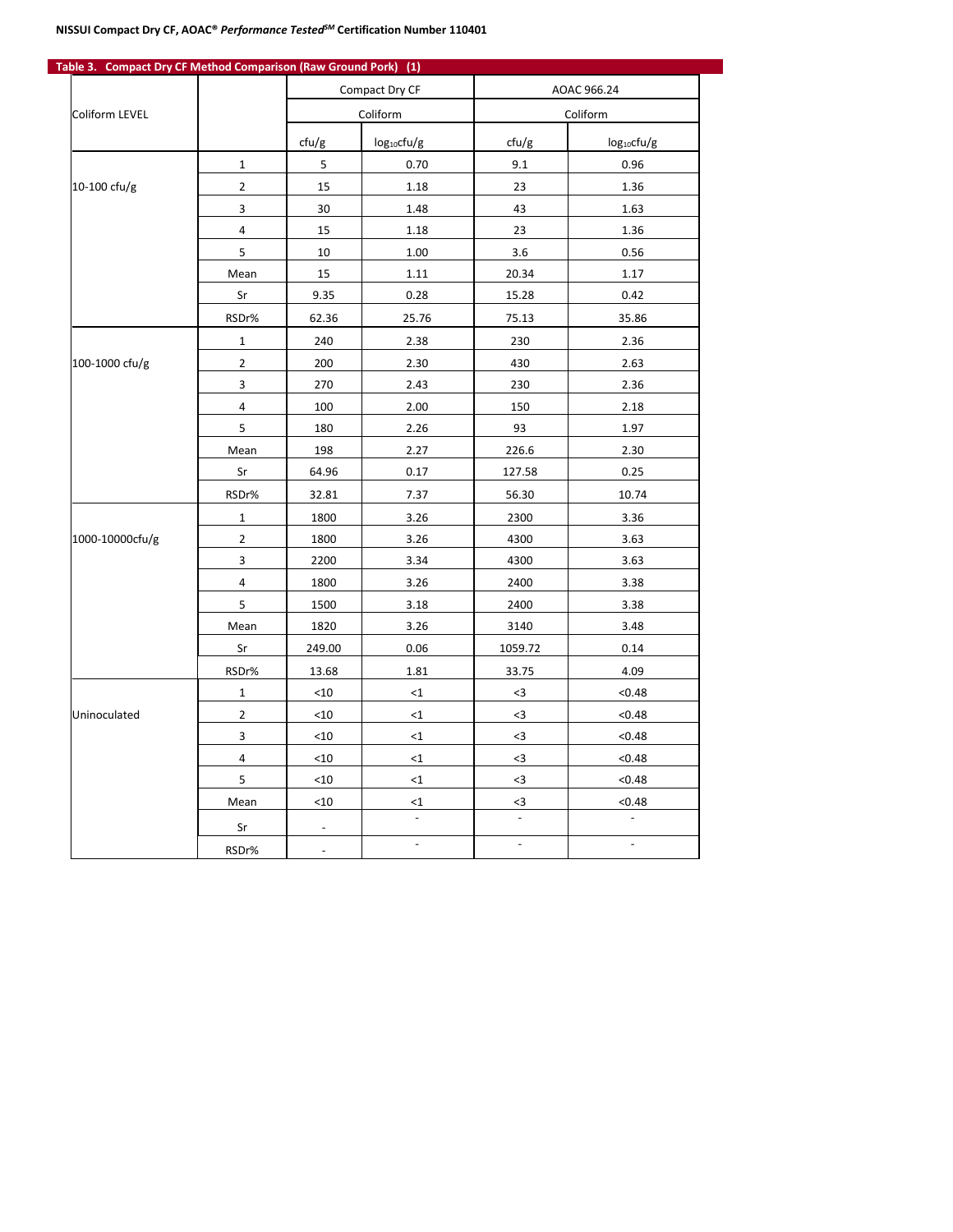| Table 3. Compact Dry CF Method Comparison (Raw Ground Pork) (1) |                |                            |                         |                         |                 |
|-----------------------------------------------------------------|----------------|----------------------------|-------------------------|-------------------------|-----------------|
|                                                                 |                | Compact Dry CF<br>Coliform |                         | AOAC 966.24<br>Coliform |                 |
| Coliform LEVEL                                                  |                |                            |                         |                         |                 |
|                                                                 |                | ctu/g                      | log <sub>10</sub> cfu/g | ctu/g                   | $log_{10}ctu/g$ |
|                                                                 | $\mathbf{1}$   | 5                          | 0.70                    | 9.1                     | 0.96            |
| 10-100 cfu/g                                                    | $\overline{2}$ | 15                         | 1.18                    | 23                      | 1.36            |
|                                                                 | 3              | 30                         | 1.48                    | 43                      | 1.63            |
|                                                                 | 4              | 15                         | 1.18                    | 23                      | 1.36            |
|                                                                 | 5              | 10                         | 1.00                    | 3.6                     | 0.56            |
|                                                                 | Mean           | 15                         | 1.11                    | 20.34                   | 1.17            |
|                                                                 | Sr             | 9.35                       | 0.28                    | 15.28                   | 0.42            |
|                                                                 | RSDr%          | 62.36                      | 25.76                   | 75.13                   | 35.86           |
|                                                                 | $\mathbf{1}$   | 240                        | 2.38                    | 230                     | 2.36            |
| 100-1000 cfu/g                                                  | $\overline{2}$ | 200                        | 2.30                    | 430                     | 2.63            |
|                                                                 | 3              | 270                        | 2.43                    | 230                     | 2.36            |
|                                                                 | $\overline{4}$ | 100                        | 2.00                    | 150                     | 2.18            |
|                                                                 | 5              | 180                        | 2.26                    | 93                      | 1.97            |
|                                                                 | Mean           | 198                        | 2.27                    | 226.6                   | 2.30            |
|                                                                 | Sr             | 64.96                      | 0.17                    | 127.58                  | 0.25            |
|                                                                 | RSDr%          | 32.81                      | 7.37                    | 56.30                   | 10.74           |
|                                                                 | $\mathbf{1}$   | 1800                       | 3.26                    | 2300                    | 3.36            |
| 1000-10000cfu/g                                                 | $\overline{2}$ | 1800                       | 3.26                    | 4300                    | 3.63            |
|                                                                 | 3              | 2200                       | 3.34                    | 4300                    | 3.63            |
|                                                                 | 4              | 1800                       | 3.26                    | 2400                    | 3.38            |
|                                                                 | 5              | 1500                       | 3.18                    | 2400                    | 3.38            |
|                                                                 | Mean           | 1820                       | 3.26                    | 3140                    | 3.48            |
|                                                                 | Sr             | 249.00                     | 0.06                    | 1059.72                 | 0.14            |
|                                                                 | RSDr%          | 13.68                      | 1.81                    | 33.75                   | 4.09            |
|                                                                 | $\mathbf{1}$   | $<$ 10                     | <1                      | $3$                     | < 0.48          |
| Uninoculated                                                    | $\overline{2}$ | $<$ 10                     | $<$ 1                   | $3$                     | < 0.48          |
|                                                                 | 3              | $<$ 10                     | $\leq 1$                | $3$                     | < 0.48          |
|                                                                 | 4              | $<$ 10                     | $\leq 1$                | $3$                     | < 0.48          |
|                                                                 | 5              | $<$ 10                     | $\leq 1$                | $<3\,$                  | < 0.48          |
|                                                                 | Mean           | $<$ 10                     | $\leq$ 1                | $3$                     | < 0.48          |
|                                                                 | Sr             |                            |                         |                         |                 |
|                                                                 | RSDr%          | $\overline{\phantom{a}}$   | $\overline{a}$          | $\blacksquare$          | $\overline{a}$  |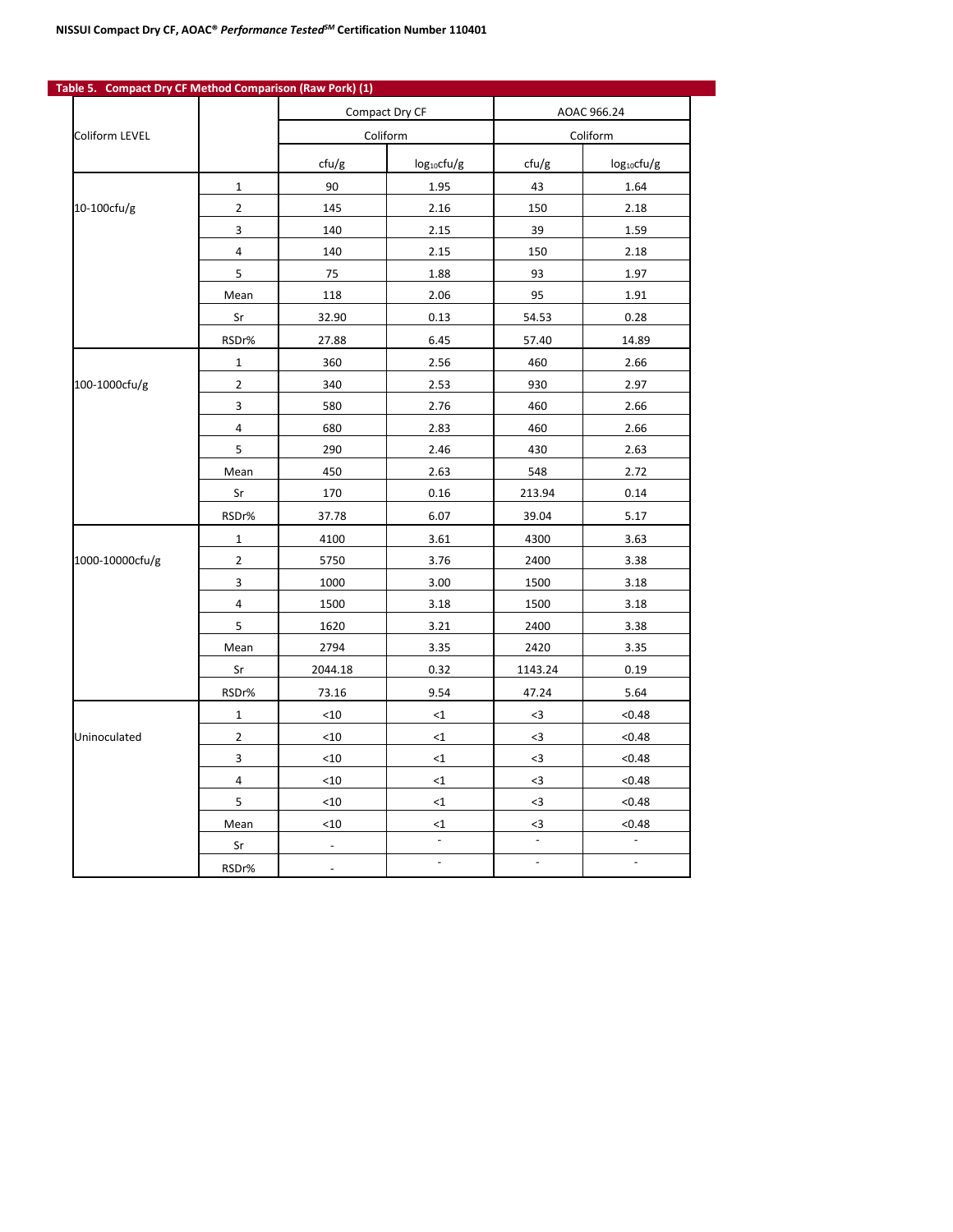|                 |                |          | Compact Dry CF   | AOAC 966.24    |                  |
|-----------------|----------------|----------|------------------|----------------|------------------|
| Coliform LEVEL  |                | Coliform |                  | Coliform       |                  |
|                 |                | ctu/g    | $log_{10}$ cfu/g | ctu/g          | $log_{10}$ cfu/g |
|                 | $\mathbf{1}$   | 90       | 1.95             | 43             | 1.64             |
| 10-100cfu/g     | $\overline{2}$ | 145      | 2.16             | 150            | 2.18             |
|                 | 3              | 140      | 2.15             | 39             | 1.59             |
|                 | 4              | 140      | 2.15             | 150            | 2.18             |
|                 | 5              | 75       | 1.88             | 93             | 1.97             |
|                 | Mean           | 118      | 2.06             | 95             | 1.91             |
|                 | Sr             | 32.90    | 0.13             | 54.53          | 0.28             |
|                 | RSDr%          | 27.88    | 6.45             | 57.40          | 14.89            |
|                 | $\mathbf{1}$   | 360      | 2.56             | 460            | 2.66             |
| 100-1000cfu/g   | $\overline{2}$ | 340      | 2.53             | 930            | 2.97             |
|                 | 3              | 580      | 2.76             | 460            | 2.66             |
|                 | 4              | 680      | 2.83             | 460            | 2.66             |
|                 | 5              | 290      | 2.46             | 430            | 2.63             |
|                 | Mean           | 450      | 2.63             | 548            | 2.72             |
|                 | Sr             | 170      | 0.16             | 213.94         | 0.14             |
|                 | RSDr%          | 37.78    | 6.07             | 39.04          | 5.17             |
|                 | $\mathbf{1}$   | 4100     | 3.61             | 4300           | 3.63             |
| 1000-10000cfu/g | $\overline{2}$ | 5750     | 3.76             | 2400           | 3.38             |
|                 | 3              | 1000     | 3.00             | 1500           | 3.18             |
|                 | 4              | 1500     | 3.18             | 1500           | 3.18             |
|                 | 5              | 1620     | 3.21             | 2400           | 3.38             |
|                 | Mean           | 2794     | 3.35             | 2420           | 3.35             |
|                 | Sr             | 2044.18  | 0.32             | 1143.24        | 0.19             |
|                 | RSDr%          | 73.16    | 9.54             | 47.24          | 5.64             |
|                 | $\mathbf 1$    | $<10$    | $\leq 1$         | $3$            | < 0.48           |
| Uninoculated    | $\overline{2}$ | $<10$    | $<$ 1            | $3$            | < 0.48           |
|                 | 3              | $<$ 10   | <1               | $3$            | < 0.48           |
|                 | 4              | $<$ 10   | <1               | $3$            | < 0.48           |
|                 | 5              | $<$ 10   | <1               | $3$            | < 0.48           |
|                 | Mean           | $<10$    | $\leq$ 1         | <3             | < 0.48           |
|                 | Sr             |          |                  |                |                  |
|                 | RSDr%          |          | $\overline{a}$   | $\blacksquare$ | $\blacksquare$   |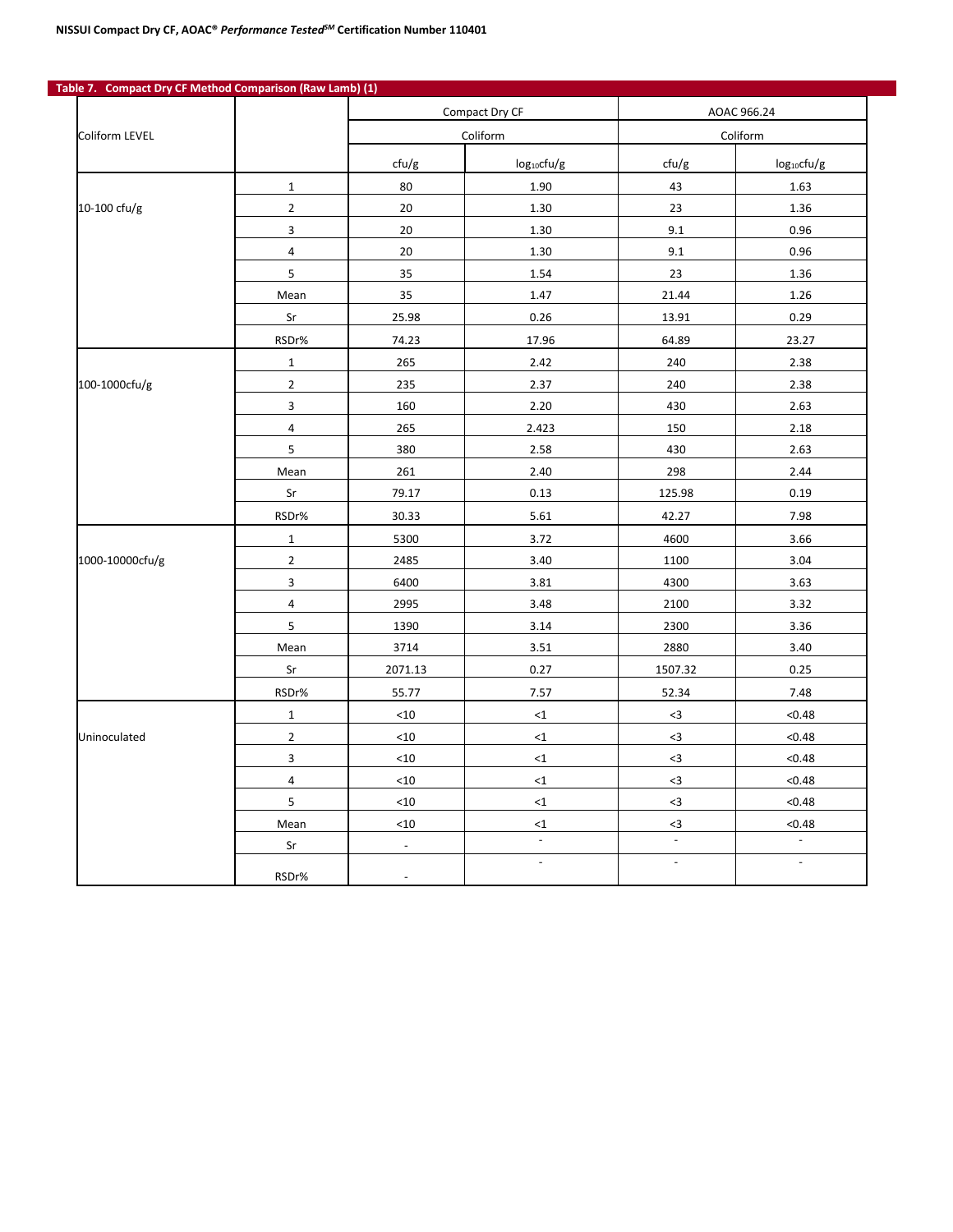|                 |                |                          | Compact Dry CF   |                    | AOAC 966.24      |  |
|-----------------|----------------|--------------------------|------------------|--------------------|------------------|--|
| Coliform LEVEL  |                | Coliform                 |                  | Coliform           |                  |  |
|                 |                | cfu/g                    | $log_{10}$ cfu/g | cfu/g              | $log_{10}$ cfu/g |  |
|                 | $\mathbf 1$    | 80                       | 1.90             | 43                 | 1.63             |  |
| 10-100 cfu/g    | $\mathbf 2$    | 20                       | 1.30             | 23                 | 1.36             |  |
|                 | $\mathsf 3$    | 20                       | 1.30             | 9.1                | 0.96             |  |
|                 | $\pmb{4}$      | 20                       | 1.30             | 9.1                | 0.96             |  |
|                 | 5              | 35                       | 1.54             | 23                 | 1.36             |  |
|                 | Mean           | 35                       | 1.47             | 21.44              | 1.26             |  |
|                 | Sr             | 25.98                    | 0.26             | 13.91              | 0.29             |  |
|                 | RSDr%          | 74.23                    | 17.96            | 64.89              | 23.27            |  |
|                 | $\mathbf{1}$   | 265                      | 2.42             | 240                | 2.38             |  |
| 100-1000cfu/g   | $\overline{2}$ | 235                      | 2.37             | 240                | 2.38             |  |
|                 | $\mathsf 3$    | 160                      | 2.20             | 430                | 2.63             |  |
|                 | 4              | 265                      | 2.423            | 150                | 2.18             |  |
|                 | 5              | 380                      | 2.58             | 430                | 2.63             |  |
|                 | Mean           | 261                      | 2.40             | 298                | 2.44             |  |
|                 | Sr             | 79.17                    | 0.13             | 125.98             | 0.19             |  |
|                 | RSDr%          | 30.33                    | 5.61             | 42.27              | 7.98             |  |
|                 | $\mathbf{1}$   | 5300                     | 3.72             | 4600               | 3.66             |  |
| 1000-10000cfu/g | $\overline{2}$ | 2485                     | 3.40             | 1100               | 3.04             |  |
|                 | 3              | 6400                     | 3.81             | 4300               | 3.63             |  |
|                 | 4              | 2995                     | 3.48             | 2100               | 3.32             |  |
|                 | 5              | 1390                     | 3.14             | 2300               | 3.36             |  |
|                 | Mean           | 3714                     | 3.51             | 2880               | 3.40             |  |
|                 | Sr             | 2071.13                  | 0.27             | 1507.32            | 0.25             |  |
|                 | RSDr%          | 55.77                    | 7.57             | 52.34              | 7.48             |  |
|                 | $\mathbf{1}$   | $<$ 10                   | ${<}1$           | $3$                | < 0.48           |  |
| Uninoculated    | $\overline{2}$ | < 10                     | ${<}1$           | $3$                | < 0.48           |  |
|                 | 3              | $<$ 10                   | ${<}1$           | $3$                | < 0.48           |  |
|                 | $\sqrt{4}$     | $<$ 10                   | ${<}1$           | $3$                | < 0.48           |  |
|                 | 5              | $<10$                    | ${<}1$           | $3$                | < 0.48           |  |
|                 | Mean           | $<10$                    | $\leq$ 1         | $3$                | < 0.48           |  |
|                 | Sr             | $\overline{\phantom{a}}$ | $\Box$           | $\bar{\mathbb{Z}}$ | $\Box$           |  |
|                 |                |                          | $\frac{1}{2}$    | $\mathbb{L}$       | $\Box$           |  |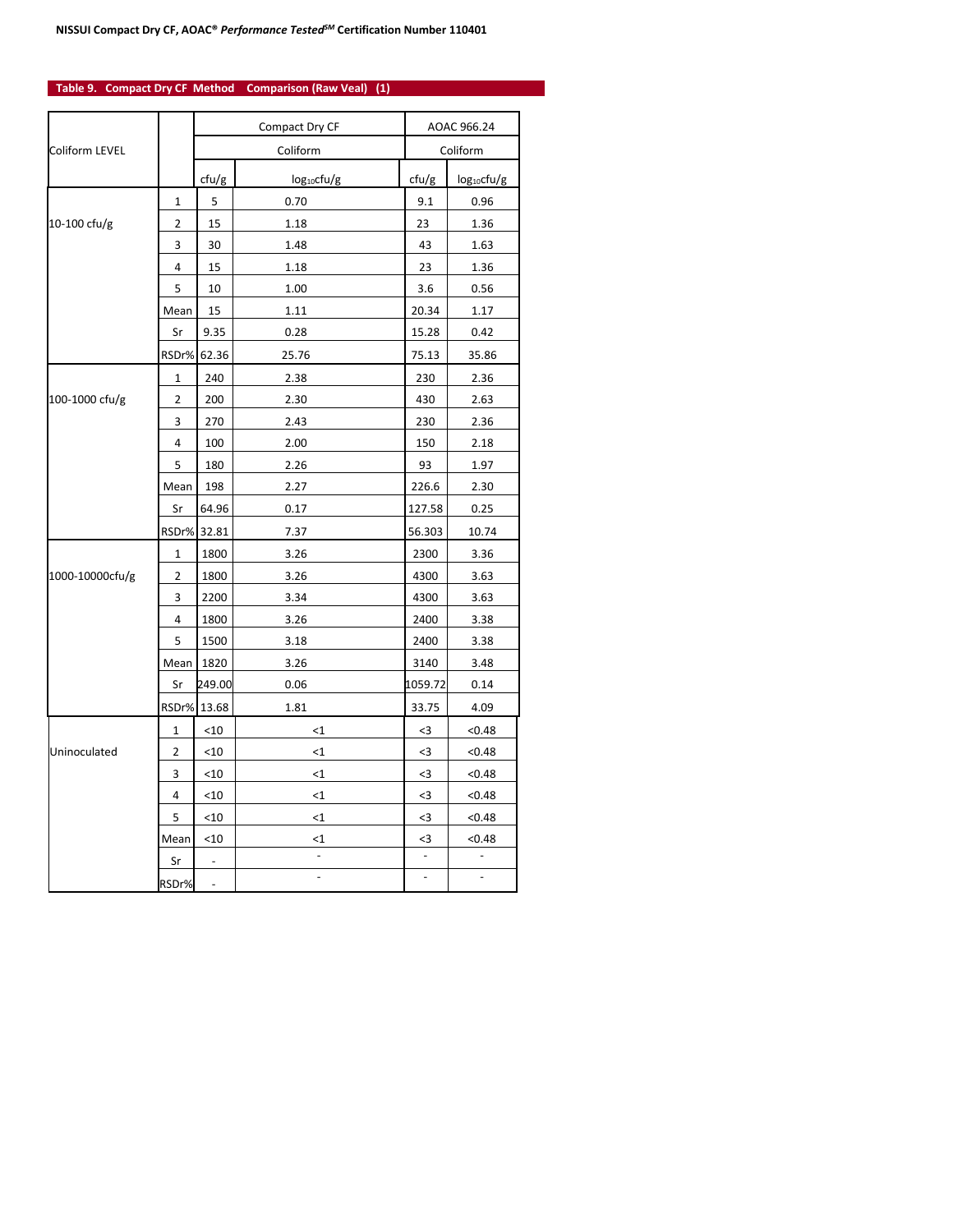### **Table 9. Compact Dry CF Method Comparison (Raw Veal) (1)**

|                 |                | Compact Dry CF           |                  |               | AOAC 966.24      |  |
|-----------------|----------------|--------------------------|------------------|---------------|------------------|--|
| Coliform LEVEL  |                | Coliform                 |                  | Coliform      |                  |  |
|                 |                | ctu/g                    | $log_{10}$ cfu/g | cfu/g         | $log_{10}$ cfu/g |  |
|                 | 1              | 5                        | 0.70             | 9.1           | 0.96             |  |
| 10-100 $ctu/g$  | 2              | 15                       | 1.18             | 23            | 1.36             |  |
|                 | 3              | 30                       | 1.48             | 43            | 1.63             |  |
|                 | 4              | 15                       | 1.18             | 23            | 1.36             |  |
|                 | 5              | 10                       | 1.00             | 3.6           | 0.56             |  |
|                 | Mean           | 15                       | 1.11             | 20.34         | 1.17             |  |
|                 | Sr             | 9.35                     | 0.28             | 15.28         | 0.42             |  |
|                 | RSDr%          | 62.36                    | 25.76            | 75.13         | 35.86            |  |
|                 | 1              | 240                      | 2.38             | 230           | 2.36             |  |
| 100-1000 cfu/g  | 2              | 200                      | 2.30             | 430           | 2.63             |  |
|                 | 3              | 270                      | 2.43             | 230           | 2.36             |  |
|                 | 4              | 100                      | 2.00             | 150           | 2.18             |  |
|                 | 5              | 180                      | 2.26             | 93            | 1.97             |  |
|                 | Mean           | 198                      | 2.27             | 226.6         | 2.30             |  |
|                 | Sr             | 64.96                    | 0.17             | 127.58        | 0.25             |  |
|                 |                | RSDr% 32.81              | 7.37             | 56.303        | 10.74            |  |
|                 | 1              | 1800                     | 3.26             | 2300          | 3.36             |  |
| 1000-10000cfu/g | $\overline{2}$ | 1800                     | 3.26             | 4300          | 3.63             |  |
|                 | 3              | 2200                     | 3.34             | 4300          | 3.63             |  |
|                 | 4              | 1800                     | 3.26             | 2400          | 3.38             |  |
|                 | 5              | 1500                     | 3.18             | 2400          | 3.38             |  |
|                 | Mean           | 1820                     | 3.26             | 3140          | 3.48             |  |
|                 | Sr             | 249.00                   | 0.06             | 1059.72       | 0.14             |  |
|                 |                | RSDr% 13.68              | 1.81             | 33.75         | 4.09             |  |
|                 | 1              | $<$ 10                   | $<$ 1            | $3$           | < 0.48           |  |
| Uninoculated    | 2              | $<$ 10                   | $<$ 1            | $3$           | < 0.48           |  |
|                 | 3              | $<$ 10                   | $<$ 1            | $3$           | < 0.48           |  |
|                 | 4              | $<$ 10                   | $<$ 1            | $<$ 3         | < 0.48           |  |
|                 | 5              | $<$ 10                   | $<$ 1            | $<$ 3         | < 0.48           |  |
|                 | Mean           | $<$ 10                   | <1               | $<$ 3         | < 0.48           |  |
|                 | Sr             |                          |                  |               |                  |  |
|                 | RSDr%          | $\overline{\phantom{a}}$ |                  | $\frac{1}{2}$ | ÷,               |  |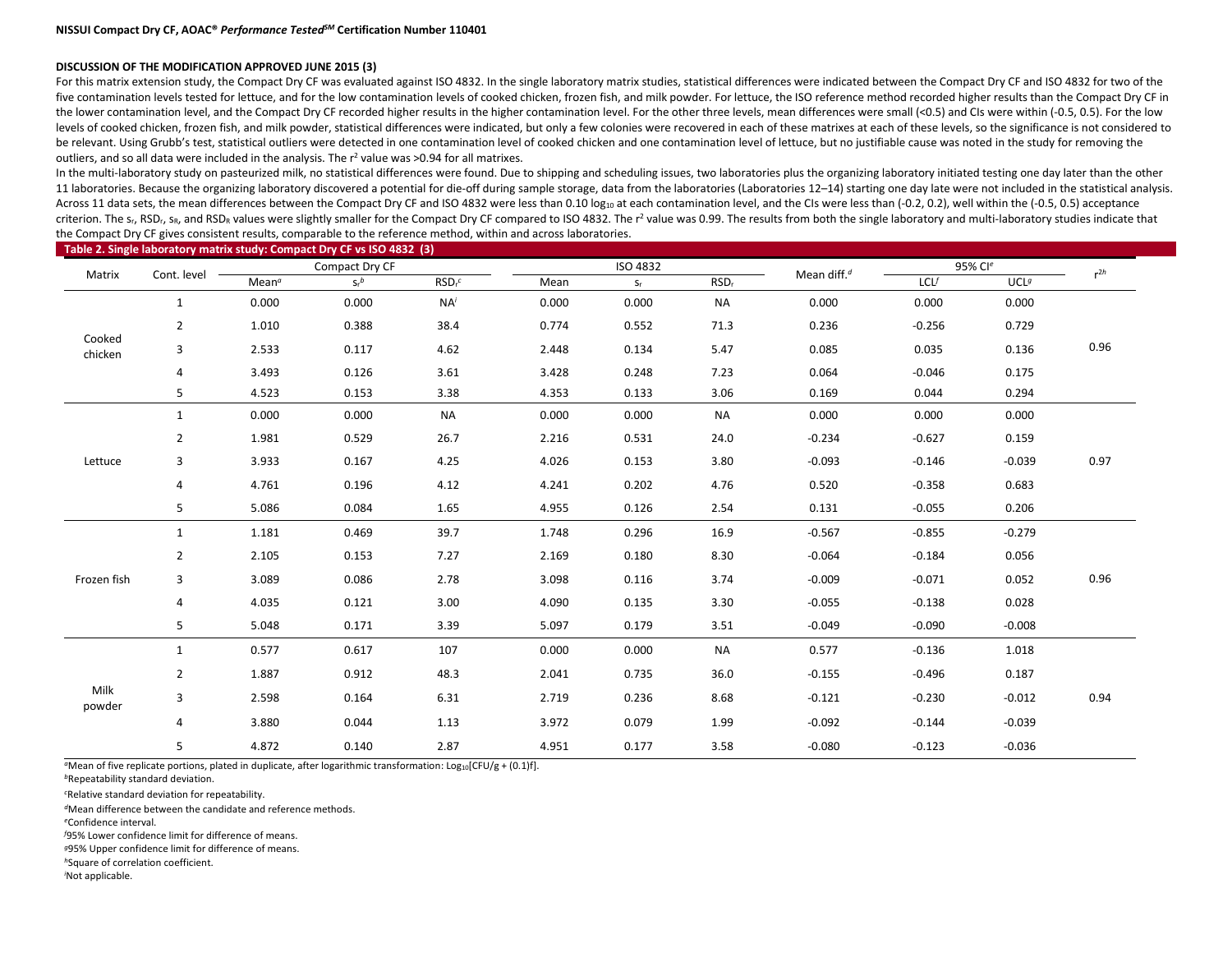#### **DISCUSSION OF THE MODIFICATION APPROVED JUNE 2015 (3)**

For this matrix extension study, the Compact Dry CF was evaluated against ISO 4832. In the single laboratory matrix studies, statistical differences were indicated between the Compact Dry CF and ISO 4832 for two of the five contamination levels tested for lettuce, and for the low contamination levels of cooked chicken, frozen fish, and milk powder. For lettuce, the ISO reference method recorded higher results than the Compact Dry CF in the lower contamination level, and the Compact Dry CF recorded higher results in the higher contamination level. For the other three levels, mean differences were small (<0.5) and CIs were within (-0.5, 0.5). For the low levels of cooked chicken, frozen fish, and milk powder, statistical differences were indicated, but only a few colonies were recovered in each of these matrixes at each of these levels, so the significance is not considere be relevant. Using Grubb's test, statistical outliers were detected in one contamination level of cooked chicken and one contamination level of lettuce, but no justifiable cause was noted in the study for removing the outliers, and so all data were included in the analysis. The  $r^2$  value was >0.94 for all matrixes.

In the multi-laboratory study on pasteurized milk, no statistical differences were found. Due to shipping and scheduling issues, two laboratories plus the organizing laboratory initiated testing one day later than the othe 11 laboratories. Because the organizing laboratory discovered a potential for die-off during sample storage, data from the laboratories (Laboratories 12-14) starting one day late were not included in the statistical analys Across 11 data sets, the mean differences between the Compact Dry CF and ISO 4832 were less than 0.10 log<sub>10</sub> at each contamination level, and the CIs were less than (-0.2, 0.2), well within the (-0.5, 0.5) acceptance criterion. The s<sub>r</sub>, RSD<sub>r</sub>, s<sub>R</sub>, and RSD<sub>R</sub> values were slightly smaller for the Compact Dry CF compared to ISO 4832. The r<sup>2</sup> value was 0.99. The results from both the single laboratory and multi-laboratory studies indi the Compact Dry CF gives consistent results, comparable to the reference method, within and across laboratories.

#### **Table 2. Single laboratory matrix study: Compact Dry CF vs ISO 4832 (3)** Matrix Cont. level **Compact Dry CF** Compact Dry CF ISO 4832 Mean diff.<sup>d</sup> 95% Cl<sup>e</sup><br>Matrix Cont. level Matrix r2*h* Mean<sup>*a*</sup>  $S_r^b$ *<sup>b</sup>* RSDr *<sup>c</sup>* Mean sr RSDr LCL*<sup>f</sup>* UCL*<sup>g</sup>* Cooked chicken 1 0.000 0.000 NA*<sup>i</sup>* 0.000 0.000 NA 0.000 0.000 0.000 0.96 2 1.010 0.388 38.4 0.774 0.552 71.3 0.236 -0.256 0.729 3 2.533 0.117 4.62 2.448 0.134 5.47 0.085 0.035 0.136 4 3.493 0.126 3.61 3.428 0.248 7.23 0.064 -0.046 0.175 5 4.523 0.153 3.38 4.353 0.133 3.06 0.169 0.044 0.294 Lettuce 1 0.000 0.000 NA 0.000 0.000 NA 0.000 0.000 0.000 0.97 2 1.981 0.529 26.7 2.216 0.531 24.0 -0.234 -0.627 0.159 3 3.933 0.167 4.25 4.026 0.153 3.80 -0.093 -0.146 -0.039 4 4.761 0.196 4.12 4.241 0.202 4.76 0.520 -0.358 0.683 5 5.086 0.084 1.65 4.955 0.126 2.54 0.131 -0.055 0.206 Frozen fish 1 1.181 0.469 39.7 1.748 0.296 16.9 -0.567 -0.855 -0.279 0.96 2 2.105 0.153 7.27 2.169 0.180 8.30 -0.064 -0.184 0.056 3 3.089 0.086 2.78 3.098 0.116 3.74 -0.009 -0.071 0.052 4 4.035 0.121 3.00 4.090 0.135 3.30 -0.055 -0.138 0.028 5 5.048 0.171 3.39 5.097 0.179 3.51 -0.049 -0.090 -0.008 Milk powder 1 0.577 0.617 107 0.000 0.000 NA 0.577 -0.136 1.018 0.94 2 1.887 0.912 48.3 2.041 0.735 36.0 -0.155 -0.496 0.187 3 2.598 0.164 6.31 2.719 0.236 8.68 -0.121 -0.230 -0.012 4 3.880 0.044 1.13 3.972 0.079 1.99 -0.092 -0.144 -0.039 5 4.872 0.140 2.87 4.951 0.177 3.58 -0.080 -0.123 -0.036

<sup>*a*</sup>Mean of five replicate portions, plated in duplicate, after logarithmic transformation: Log<sub>10</sub>[CFU/g + (0.1)f].

*<sup>b</sup>*Repeatability standard deviation.

*c* Relative standard deviation for repeatability.

*<sup>d</sup>*Mean difference between the candidate and reference methods.

*<sup>e</sup>*Confidence interval.

*f* 95% Lower confidence limit for difference of means.

*<sup>g</sup>*95% Upper confidence limit for difference of means.

*<sup>h</sup>*Square of correlation coefficient.

*i* Not applicable.